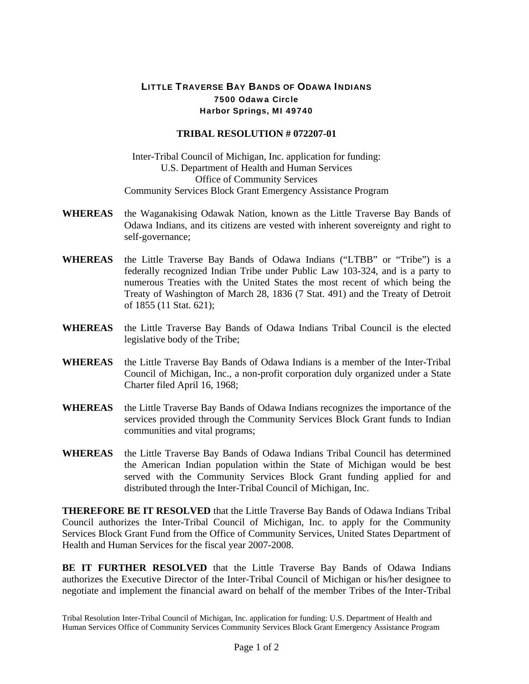## LITTLE TRAVERSE BAY BANDS OF ODAWA INDIANS 7500 Odawa Circle Harbor Springs, MI 49740

## **TRIBAL RESOLUTION # 072207-01**

Inter-Tribal Council of Michigan, Inc. application for funding: U.S. Department of Health and Human Services Office of Community Services Community Services Block Grant Emergency Assistance Program

- **WHEREAS** the Waganakising Odawak Nation, known as the Little Traverse Bay Bands of Odawa Indians, and its citizens are vested with inherent sovereignty and right to self-governance;
- **WHEREAS** the Little Traverse Bay Bands of Odawa Indians ("LTBB" or "Tribe") is a federally recognized Indian Tribe under Public Law 103-324, and is a party to numerous Treaties with the United States the most recent of which being the Treaty of Washington of March 28, 1836 (7 Stat. 491) and the Treaty of Detroit of 1855 (11 Stat. 621);
- **WHEREAS** the Little Traverse Bay Bands of Odawa Indians Tribal Council is the elected legislative body of the Tribe;
- **WHEREAS** the Little Traverse Bay Bands of Odawa Indians is a member of the Inter-Tribal Council of Michigan, Inc., a non-profit corporation duly organized under a State Charter filed April 16, 1968;
- **WHEREAS** the Little Traverse Bay Bands of Odawa Indians recognizes the importance of the services provided through the Community Services Block Grant funds to Indian communities and vital programs;
- **WHEREAS** the Little Traverse Bay Bands of Odawa Indians Tribal Council has determined the American Indian population within the State of Michigan would be best served with the Community Services Block Grant funding applied for and distributed through the Inter-Tribal Council of Michigan, Inc.

**THEREFORE BE IT RESOLVED** that the Little Traverse Bay Bands of Odawa Indians Tribal Council authorizes the Inter-Tribal Council of Michigan, Inc. to apply for the Community Services Block Grant Fund from the Office of Community Services, United States Department of Health and Human Services for the fiscal year 2007-2008.

**BE IT FURTHER RESOLVED** that the Little Traverse Bay Bands of Odawa Indians authorizes the Executive Director of the Inter-Tribal Council of Michigan or his/her designee to negotiate and implement the financial award on behalf of the member Tribes of the Inter-Tribal

Tribal Resolution Inter-Tribal Council of Michigan, Inc. application for funding: U.S. Department of Health and Human Services Office of Community Services Community Services Block Grant Emergency Assistance Program